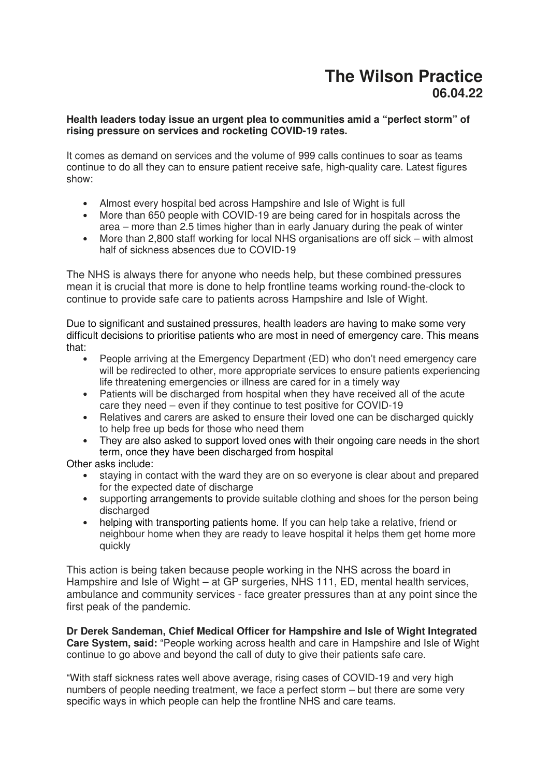## **The Wilson Practice 06.04.22**

## **Health leaders today issue an urgent plea to communities amid a "perfect storm" of rising pressure on services and rocketing COVID-19 rates.**

It comes as demand on services and the volume of 999 calls continues to soar as teams continue to do all they can to ensure patient receive safe, high-quality care. Latest figures show:

- Almost every hospital bed across Hampshire and Isle of Wight is full
- More than 650 people with COVID-19 are being cared for in hospitals across the area – more than 2.5 times higher than in early January during the peak of winter
- More than 2,800 staff working for local NHS organisations are off sick with almost half of sickness absences due to COVID-19

The NHS is always there for anyone who needs help, but these combined pressures mean it is crucial that more is done to help frontline teams working round-the-clock to continue to provide safe care to patients across Hampshire and Isle of Wight.

Due to significant and sustained pressures, health leaders are having to make some very difficult decisions to prioritise patients who are most in need of emergency care. This means that:

- People arriving at the Emergency Department (ED) who don't need emergency care will be redirected to other, more appropriate services to ensure patients experiencing life threatening emergencies or illness are cared for in a timely way
- Patients will be discharged from hospital when they have received all of the acute care they need – even if they continue to test positive for COVID-19
- Relatives and carers are asked to ensure their loved one can be discharged quickly to help free up beds for those who need them
- They are also asked to support loved ones with their ongoing care needs in the short term, once they have been discharged from hospital

Other asks include:

- staying in contact with the ward they are on so everyone is clear about and prepared for the expected date of discharge
- supporting arrangements to provide suitable clothing and shoes for the person being discharged
- helping with transporting patients home. If you can help take a relative, friend or neighbour home when they are ready to leave hospital it helps them get home more quickly

This action is being taken because people working in the NHS across the board in Hampshire and Isle of Wight – at GP surgeries, NHS 111, ED, mental health services, ambulance and community services - face greater pressures than at any point since the first peak of the pandemic.

**Dr Derek Sandeman, Chief Medical Officer for Hampshire and Isle of Wight Integrated Care System, said:** "People working across health and care in Hampshire and Isle of Wight continue to go above and beyond the call of duty to give their patients safe care.

"With staff sickness rates well above average, rising cases of COVID-19 and very high numbers of people needing treatment, we face a perfect storm – but there are some very specific ways in which people can help the frontline NHS and care teams.